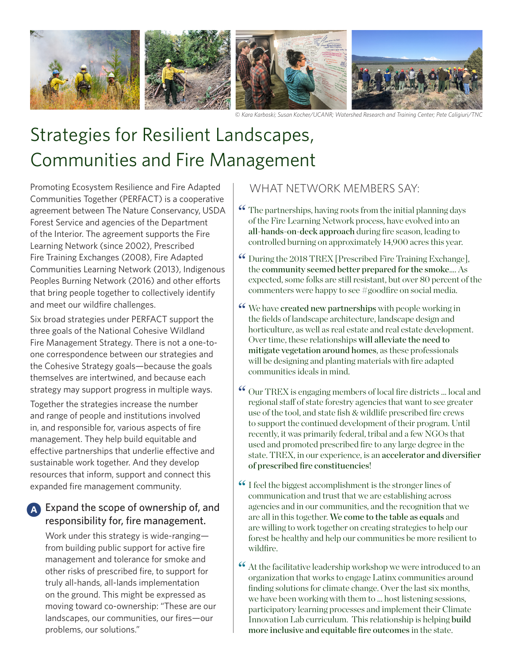

© *Kara Karboski; Susan Kocher/UCANR; Watershed Research and Training Center; Pete Caligiuri/TNC*

# Strategies for Resilient Landscapes, Communities and Fire Management

Promoting Ecosystem Resilience and Fire Adapted Communities Together (PERFACT) is a cooperative agreement between The Nature Conservancy, USDA Forest Service and agencies of the Department of the Interior. The agreement supports the Fire Learning Network (since 2002), Prescribed Fire Training Exchanges (2008), Fire Adapted Communities Learning Network (2013), Indigenous Peoples Burning Network (2016) and other efforts that bring people together to collectively identify and meet our wildfire challenges.

Six broad strategies under PERFACT support the three goals of the National Cohesive Wildland Fire Management Strategy. There is not a one-toone correspondence between our strategies and the Cohesive Strategy goals—because the goals themselves are intertwined, and because each strategy may support progress in multiple ways.

Together the strategies increase the number and range of people and institutions involved in, and responsible for, various aspects of fire management. They help build equitable and effective partnerships that underlie effective and sustainable work together. And they develop resources that inform, support and connect this expanded fire management community.

### A Expand the scope of ownership of, and responsibility for, fire management.

Work under this strategy is wide-ranging from building public support for active fire management and tolerance for smoke and other risks of prescribed fire, to support for truly all-hands, all-lands implementation on the ground. This might be expressed as moving toward co-ownership: "These are our landscapes, our communities, our fires—our problems, our solutions."

### WHAT NETWORK MEMBERS SAY:

- The partnerships, having roots from the initial planning days " of the Fire Learning Network process, have evolved into an all-hands-on-deck approach during fire season, leading to controlled burning on approximately 14,900 acres this year.
- During the 2018 TREX [Prescribed Fire Training Exchange], " the community seemed better prepared for the smoke…. As expected, some folks are still resistant, but over 80 percent of the commenters were happy to see #goodfire on social media.
- We have created new partnerships with people working in " the fields of landscape architecture, landscape design and horticulture, as well as real estate and real estate development. Over time, these relationships will alleviate the need to mitigate vegetation around homes, as these professionals will be designing and planting materials with fire adapted communities ideals in mind.
- Our TREX is engaging members of local fire districts ... local and " regional staff of state forestry agencies that want to see greater use of the tool, and state fish & wildlife prescribed fire crews to support the continued development of their program. Until recently, it was primarily federal, tribal and a few NGOs that used and promoted prescribed fire to any large degree in the state. TREX, in our experience, is an accelerator and diversifier of prescribed fire constituencies!
- I feel the biggest accomplishment is the stronger lines of " communication and trust that we are establishing across agencies and in our communities, and the recognition that we are all in this together. We come to the table as equals and are willing to work together on creating strategies to help our forest be healthy and help our communities be more resilient to wildfire.
- At the facilitative leadership workshop we were introduced to an " organization that works to engage Latinx communities around finding solutions for climate change. Over the last six months, we have been working with them to ... host listening sessions, participatory learning processes and implement their Climate Innovation Lab curriculum. This relationship is helping build more inclusive and equitable fire outcomes in the state.